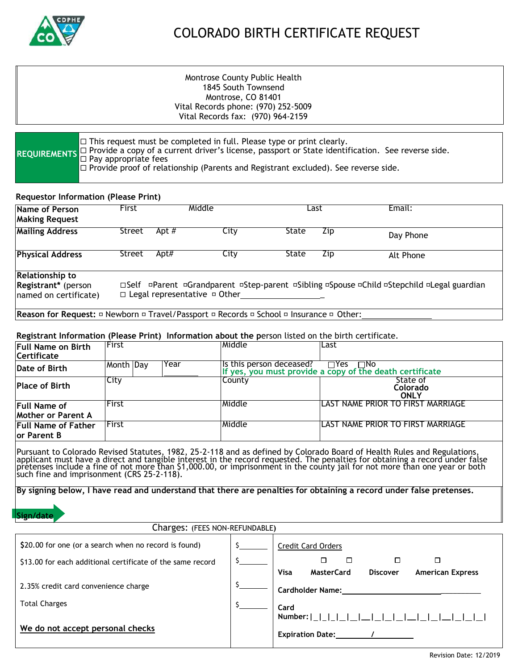

# COLORADO BIRTH CERTIFICATE REQUEST

# Montrose County Public Health 1845 South Townsend Montrose, CO 81401 Vital Records phone: (970) 252-5009 Vital Records fax: (970) 964-2159

| $\Box$ This request must be completed in full. Please type or print clearly.<br>REQUIREMENTS D Provide a copy of a current driver's license, passport or State identification. See reverse side.<br>O Pay appropriate fees |
|----------------------------------------------------------------------------------------------------------------------------------------------------------------------------------------------------------------------------|
|                                                                                                                                                                                                                            |
| $\Box$ Provide proof of relationship (Parents and Registrant excluded). See reverse side.                                                                                                                                  |

## **Requestor Information (Please Print)**

| Apt $#$<br>City<br>State<br>Street<br>Zip<br>Day Phone<br>Apt#<br>City<br>State<br>Street<br>Zip<br>Alt Phone<br>□Self =Parent =Grandparent =Step-parent =Sibling =Spouse =Child =Stepchild =Legal guardian<br>$\Box$ Legal representative $\Box$ Other | Name of Person<br><b>Making Request</b> | Middle<br>First |  | Last |  | Email: |  |
|---------------------------------------------------------------------------------------------------------------------------------------------------------------------------------------------------------------------------------------------------------|-----------------------------------------|-----------------|--|------|--|--------|--|
|                                                                                                                                                                                                                                                         | <b>Mailing Address</b>                  |                 |  |      |  |        |  |
| <b>Relationship to</b><br>Registrant* (person<br>named on certificate)                                                                                                                                                                                  | <b>Physical Address</b>                 |                 |  |      |  |        |  |
|                                                                                                                                                                                                                                                         |                                         |                 |  |      |  |        |  |

#### **Registrant Information (Please Print) Information about the p**erson listed on the birth certificate.

| Full Name on Birth<br><b>Certificate</b>         | <b>IFirst</b>     | lMiddle                  | ILast                                                                                           |
|--------------------------------------------------|-------------------|--------------------------|-------------------------------------------------------------------------------------------------|
| Date of Birth                                    | Month Day<br>Year | Is this person deceased? | Is this person deceased? □ Yes □ No<br>If yes, you must provide a copy of the death certificate |
| <b>Place of Birth</b>                            | <b>City</b>       | County                   | State of<br>Colorado<br><b>ONLY</b>                                                             |
| <b>Full Name of</b><br><b>Mother or Parent A</b> | <b>IFirst</b>     | lMiddle                  | LAST NAME PRIOR TO FIRST MARRIAGE                                                               |
| <b>Full Name of Father</b><br>lor Parent B       | lFirst            | lMiddle                  | ILAST NAME PRIOR TO FIRST MARRIAGE                                                              |

Pursuant to Colorado Revised Statutes, 1982, 25-2-118 and as defined by Colorado Board of Health Rules and Regulations, applicant must have a direct and tangible interest in the record requested. The penalties for obtaining a record under false pretenses include a fine of not more than \$1,000.00, or imprisonment in the county jail for not more than one year or both such fine and imprisonment (CRS 25-2-118).

**By signing below, I have read and understand that there are penalties for obtaining a record under false pretenses.**

## **Sign/date**

| Charges: (FEES NON-REFUNDABLE)                             |  |                                                                                                                  |  |
|------------------------------------------------------------|--|------------------------------------------------------------------------------------------------------------------|--|
| \$20.00 for one (or a search when no record is found)      |  | <b>Credit Card Orders</b>                                                                                        |  |
| \$13.00 for each additional certificate of the same record |  | □<br>□                                                                                                           |  |
|                                                            |  | <b>Visa</b><br><b>MasterCard</b><br><b>Discover</b><br><b>American Express</b>                                   |  |
| 2.35% credit card convenience charge                       |  | <b>Cardholder Name:</b>                                                                                          |  |
| <b>Total Charges</b>                                       |  | Card                                                                                                             |  |
|                                                            |  |                                                                                                                  |  |
| We do not accept personal checks                           |  | Expiration Date: The Manuson of the Manuson of the Manuson of the Manuson of the Manuson of the Manuson of the M |  |